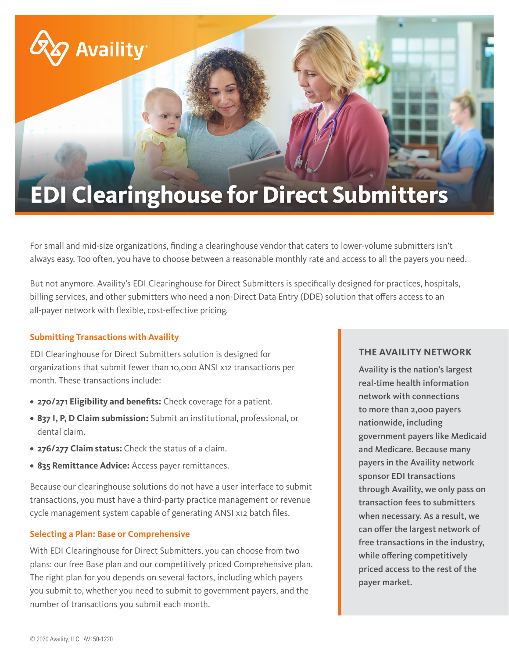# **EDI Clearinghouse for Direct Submitters**

For small and mid-size organizations, finding a clearinghouse vendor that caters to lower-volume submitters isn't always easy. Too often, you have to choose between a reasonable monthly rate and access to all the payers you need.

But not anymore. Availity's EDI Clearinghouse for Direct Submitters is specifically designed for practices, hospitals, billing services, and other submitters who need a non-Direct Data Entry (DDE) solution that offers access to an all-payer network with flexible, cost-effective pricing.

# **Submitting Transactions with Availity**

**Availity** 

EDI Clearinghouse for Direct Submitters solution is designed for organizations that submit fewer than 10,000 ANSI x12 transactions per month. These transactions include:

- **• 270/271 Eligibility and benefits:** Check coverage for a patient.
- **• 837 I, P, D Claim submission:** Submit an institutional, professional, or dental claim.
- **• 276/277 Claim status:** Check the status of a claim.
- **• 835 Remittance Advice:** Access payer remittances.

Because our clearinghouse solutions do not have a user interface to submit transactions, you must have a third-party practice management or revenue cycle management system capable of generating ANSI x12 batch files.

#### **Selecting a Plan: Base or Comprehensive**

With EDI Clearinghouse for Direct Submitters, you can choose from two plans: our free Base plan and our competitively priced Comprehensive plan. The right plan for you depends on several factors, including which payers you submit to, whether you need to submit to government payers, and the number of transactions you submit each month.

# **THE AVAILITY NETWORK**

Availity is the nation's largest real-time health information network with connections to more than 2,000 payers nationwide, including government payers like Medicaid and Medicare. Because many payers in the Availity network sponsor EDI transactions through Availity, we only pass on transaction fees to submitters when necessary. As a result, we can offer the largest network of free transactions in the industry, while offering competitively priced access to the rest of the payer market.